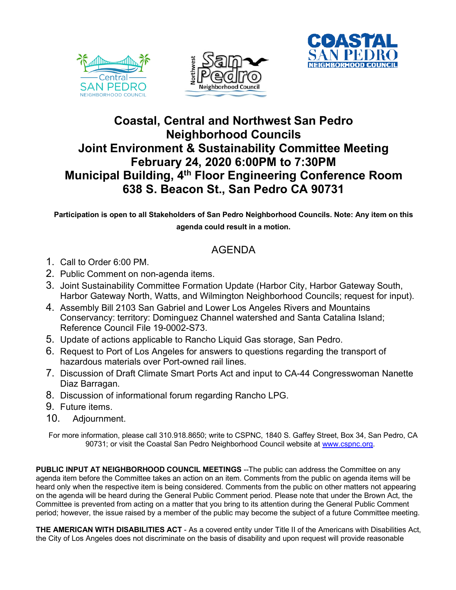





## **Coastal, Central and Northwest San Pedro Neighborhood Councils Joint Environment & Sustainability Committee Meeting February 24, 2020 6:00PM to 7:30PM Municipal Building, 4th Floor Engineering Conference Room 638 S. Beacon St., San Pedro CA 90731**

**Participation is open to all Stakeholders of San Pedro Neighborhood Councils. Note: Any item on this agenda could result in a motion.**

## AGENDA

- 1. Call to Order 6:00 PM.
- 2. Public Comment on non-agenda items.
- 3. Joint Sustainability Committee Formation Update (Harbor City, Harbor Gateway South, Harbor Gateway North, Watts, and Wilmington Neighborhood Councils; request for input).
- 4. Assembly Bill 2103 San Gabriel and Lower Los Angeles Rivers and Mountains Conservancy: territory: Dominguez Channel watershed and Santa Catalina Island; Reference Council File 19-0002-S73.
- 5. Update of actions applicable to Rancho Liquid Gas storage, San Pedro.
- 6. Request to Port of Los Angeles for answers to questions regarding the transport of hazardous materials over Port-owned rail lines.
- 7. Discussion of Draft Climate Smart Ports Act and input to CA-44 Congresswoman Nanette Diaz Barragan.
- 8. Discussion of informational forum regarding Rancho LPG.
- 9. Future items.
- 10. Adjournment.

For more information, please call 310.918.8650; write to CSPNC, 1840 S. Gaffey Street, Box 34, San Pedro, CA 90731; or visit the Coastal San Pedro Neighborhood Council website at www.cspnc.org.

**PUBLIC INPUT AT NEIGHBORHOOD COUNCIL MEETINGS** --The public can address the Committee on any agenda item before the Committee takes an action on an item. Comments from the public on agenda items will be heard only when the respective item is being considered. Comments from the public on other matters not appearing on the agenda will be heard during the General Public Comment period. Please note that under the Brown Act, the Committee is prevented from acting on a matter that you bring to its attention during the General Public Comment period; however, the issue raised by a member of the public may become the subject of a future Committee meeting.

**THE AMERICAN WITH DISABILITIES ACT** - As a covered entity under Title II of the Americans with Disabilities Act, the City of Los Angeles does not discriminate on the basis of disability and upon request will provide reasonable